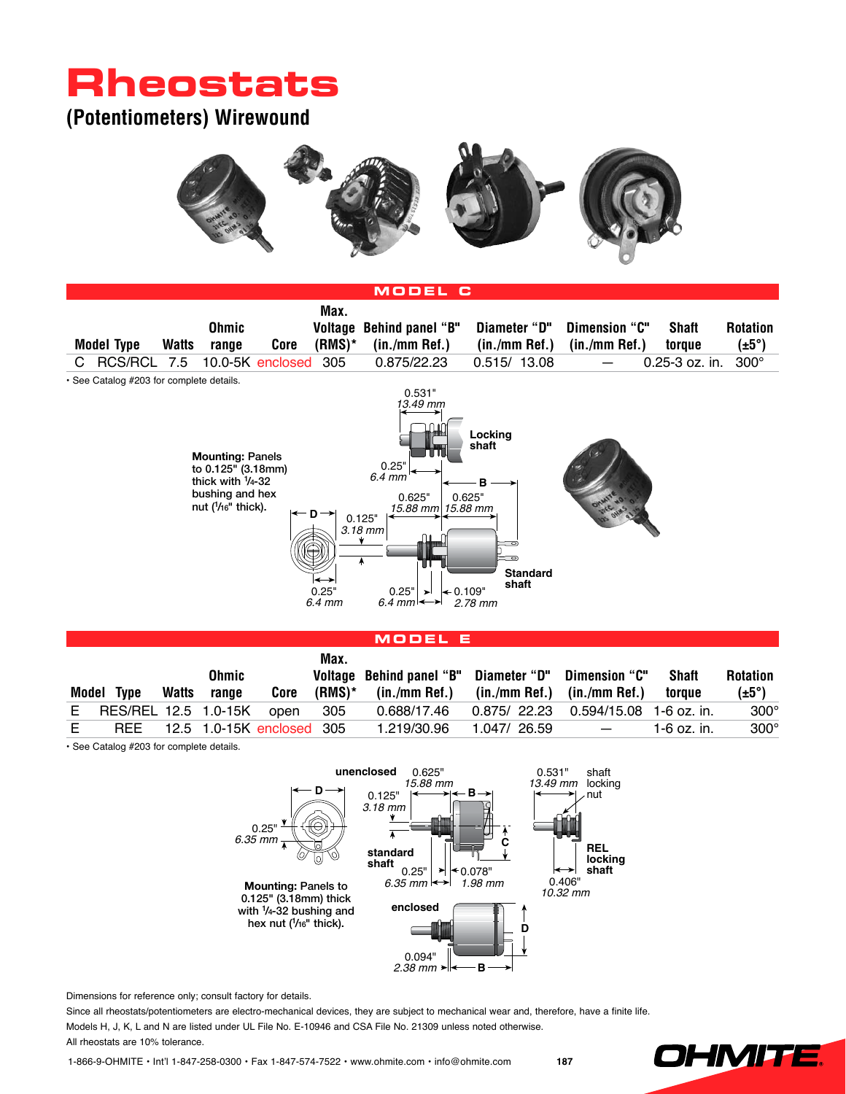## **Rheostats**

### **(Potentiometers) Wirewound**





#### **Model E**

| Ohmic |                      |              |       | Max.                      | Voltage Behind panel "B" Diameter "D" Dimension "C" |               |                                       | <b>Shaft</b>             | <b>Rotation</b> |                   |
|-------|----------------------|--------------|-------|---------------------------|-----------------------------------------------------|---------------|---------------------------------------|--------------------------|-----------------|-------------------|
|       | Model Type           | <b>Watts</b> | range | Core                      | (RMS)*                                              | (in./mm Ref.) | (in./mm Ref.) (in./mm Ref.)           |                          | toraue          | $(\pm 5^{\circ})$ |
| E     | RES/REL 12.5 1.0-15K |              |       | open                      | 305                                                 | 0.688/17.46   | $0.875/22.23$ 0.594/15.08 1-6 oz. in. |                          |                 | $300^\circ$       |
|       | <b>RFF</b>           |              |       | 12.5 1.0-15K enclosed 305 |                                                     | 1.219/30.96   | 1.047/26.59                           | $\overline{\phantom{0}}$ | 1-6 oz. in.     | $300^\circ$       |

• See Catalog #203 for complete details.



Dimensions for reference only; consult factory for details.

Since all rheostats/potentiometers are electro-mechanical devices, they are subject to mechanical wear and, therefore, have a finite life. Models H, J, K, L and N are listed under UL File No. E-10946 and CSA File No. 21309 unless noted otherwise. All rheostats are 10% tolerance.

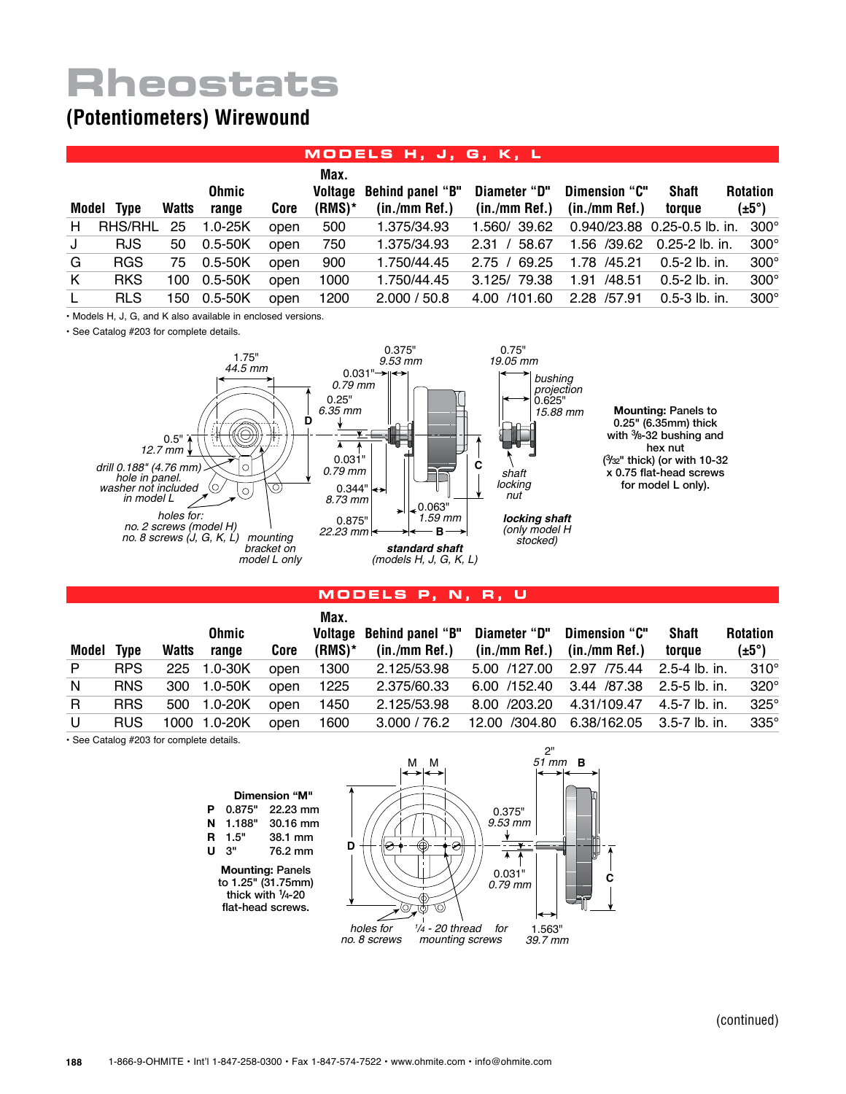# **Rheostats**

## **(Potentiometers) Wirewound**

### **Models H, J, G, K, L**

|              | Model Type | <b>Watts</b> | Ohmic<br>range | Core | Max.<br>$(RMS)^*$ | Voltage Behind panel "B"<br>$(in./mm$ Ref.) | Diameter "D"<br>$(in./mm$ Ref.) | Dimension "C"<br>$(in./mm$ Ref.) | <b>Shaft</b><br>toraue            | <b>Rotation</b><br>$(\pm 5^{\circ})$ |
|--------------|------------|--------------|----------------|------|-------------------|---------------------------------------------|---------------------------------|----------------------------------|-----------------------------------|--------------------------------------|
| H            | RHS/RHL    | 25           | $1.0 - 25K$    | open | 500               | 1.375/34.93                                 | 1.560/39.62                     |                                  | 0.940/23.88 0.25-0.5 lb. in. 300° |                                      |
| J            | <b>RJS</b> | 50           | $0.5 - 50K$    | open | 750               | 1.375/34.93                                 | 2.31 / 58.67                    |                                  | 1.56 /39.62 0.25-2 lb. in.        | $300^\circ$                          |
| G            | <b>RGS</b> | 75           | $0.5 - 50K$    | open | 900               | 1.750/44.45                                 | 2.75 / 69.25                    | 1.78 /45.21                      | 0.5-2 lb. in.                     | $300^\circ$                          |
| K            | <b>RKS</b> | 100          | 0.5-50K        | open | 1000              | 1.750/44.45                                 | 3.125/79.38                     | 1.91 /48.51                      | 0.5-2 lb. in.                     | $300^\circ$                          |
| $\mathsf{L}$ | <b>RLS</b> | 150          | 0.5-50K        | open | 1200              | 2.000 / 50.8                                | 4.00 /101.60                    | 2.28 /57.91                      | $0.5 - 3$ lb. in.                 | $300^\circ$                          |

• Models H, J, G, and K also available in enclosed versions.

• See Catalog #203 for complete details.



#### 0.25" (6.35mm) thick with <sup>3</sup> /8-32 bushing and hex nut ( 3 /32" thick) (or with 10-32 x 0.75 flat-head screws for model L only).

#### **Models P, N, R, U**

|       |             |       |              |      | Max.      |                          |                                         |                                        |              |                   |
|-------|-------------|-------|--------------|------|-----------|--------------------------|-----------------------------------------|----------------------------------------|--------------|-------------------|
|       |             |       | <b>Ohmic</b> |      |           | Voltage Behind panel "B" | Diameter "D"                            | Dimension "C"                          | <b>Shaft</b> | <b>Rotation</b>   |
| Model | <b>Type</b> | Watts | range        | Core | $(RMS)^*$ | $(in./mm$ Ref.)          |                                         | $(in./mm$ Ref.) $(in./mm$ Ref.)        | toraue       | $(\pm 5^{\circ})$ |
| P     | <b>RPS</b>  | 225   | 1.0-30K      | open | 1300      | 2.125/53.98              | 5.00 /127.00                            | 2.97 /75.44 2.5-4 lb. in.              |              | $310^\circ$       |
| N     | <b>RNS</b>  | 300   | 1.0-50K      | open | 1225      | 2.375/60.33              |                                         | 6.00 /152.40 3.44 /87.38 2.5-5 lb. in. |              | $320^\circ$       |
| R.    | <b>RRS</b>  | 500   | 1.0-20K      | open | 1450      | 2.125/53.98              |                                         | 8.00 /203.20 4.31/109.47 4.5-7 lb. in. |              | $325^\circ$       |
| U     | <b>RUS</b>  |       | 1000 1.0-20K | open | 1600      | 3.000 / 76.2             | 12.00 /304.80 6.38/162.05 3.5-7 lb. in. |                                        |              | $335^\circ$       |

• See Catalog #203 for complete details.